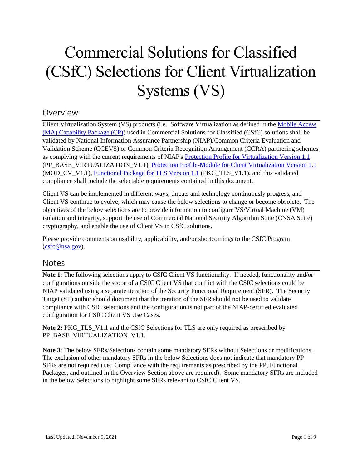# Commercial Solutions for Classified (CSfC) Selections for Client Virtualization Systems (VS)

# Overview

Client Virtualization System (VS) products (i.e., Software Virtualization as defined in the [Mobile Access](https://www.nsa.gov/Resources/Commercial-Solutions-for-Classified-Program/Capability-Packages/#mobile-access)  [\(MA\) Capability Package \(CP\)\)](https://www.nsa.gov/Resources/Commercial-Solutions-for-Classified-Program/Capability-Packages/#mobile-access) used in Commercial Solutions for Classified (CSfC) solutions shall be validated by National Information Assurance Partnership (NIAP)/Common Criteria Evaluation and Validation Scheme (CCEVS) or Common Criteria Recognition Arrangement (CCRA) partnering schemes as complying with the current requirements of NIAP's [Protection Profile for Virtualization Version 1.1](https://www.niap-ccevs.org/Profile/Info.cfm?PPID=456&id=456) (PP\_BASE\_VIRTUALIZATION\_V1.1), [Protection Profile-Module for Client Virtualization Version 1.1](https://www.niap-ccevs.org/Profile/Info.cfm?PPID=457&id=457) (MOD CV V1.1), [Functional Package for TLS Version 1.1](https://www.niap-ccevs.org/Profile/Info.cfm?PPID=439&id=439) (PKG TLS V1.1), and this validated compliance shall include the selectable requirements contained in this document.

Client VS can be implemented in different ways, threats and technology continuously progress, and Client VS continue to evolve, which may cause the below selections to change or become obsolete. The objectives of the below selections are to provide information to configure VS/Virtual Machine (VM) isolation and integrity, support the use of Commercial National Security Algorithm Suite (CNSA Suite) cryptography, and enable the use of Client VS in CSfC solutions.

Please provide comments on usability, applicability, and/or shortcomings to the CSfC Program [\(csfc@nsa.gov\)](mailto:csfc@nsa.gov).

# Notes

**Note 1**: The following selections apply to CSfC Client VS functionality. If needed, functionality and/or configurations outside the scope of a CSfC Client VS that conflict with the CSfC selections could be NIAP validated using a separate iteration of the Security Functional Requirement (SFR). The Security Target (ST) author should document that the iteration of the SFR should not be used to validate compliance with CSfC selections and the configuration is not part of the NIAP-certified evaluated configuration for CSfC Client VS Use Cases.

**Note 2:** PKG\_TLS\_V1.1 and the CSfC Selections for TLS are only required as prescribed by PP\_BASE\_VIRTUALIZATION\_V1.1.

**Note 3**: The below SFRs/Selections contain some mandatory SFRs without Selections or modifications. The exclusion of other mandatory SFRs in the below Selections does not indicate that mandatory PP SFRs are not required (i.e., Compliance with the requirements as prescribed by the PP, Functional Packages, and outlined in the Overview Section above are required). Some mandatory SFRs are included in the below Selections to highlight some SFRs relevant to CSfC Client VS.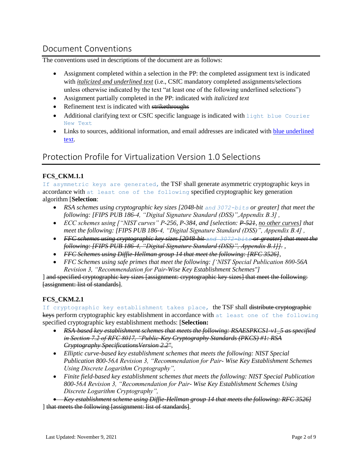# Document Conventions

The conventions used in descriptions of the document are as follows:

- Assignment completed within a selection in the PP: the completed assignment text is indicated with *italicized and underlined text* (i.e., CSfC mandatory completed assignments/selections unless otherwise indicated by the text "at least one of the following underlined selections")
- Assignment partially completed in the PP: indicated with *italicized text*
- Refinement text is indicated with strikethroughs
- Additional clarifying text or CSfC specific language is indicated with light blue Courier New Text
- Links to sources, additional information, and email addresses are indicated with blue underlined text.

# Protection Profile for Virtualization Version 1.0 Selections

# **FCS\_CKM.1.1**

If asymmetric keys are generated, the TSF shall generate asymmetric cryptographic keys in accordance with at least one of the following specified cryptographic key generation algorithm [**Selection**:

- **•** RSA schemes using cryptographic key sizes [2048-bit and 3072-bits or greater] that meet the *following: [FIPS PUB 186-4, "Digital Signature Standard (DSS)",Appendix B.3] ,*
- *ECC schemes using ["NIST curves" P-256, P-384, and [selection: <del>P-521</del>, no other curves] that meet the following: [FIPS PUB 186-4, "Digital Signature Standard (DSS)", Appendix B.4] ,*
- *FFC schemes using cryptographic key sizes [2048-bit and 3072-bits or greater] that meet the following: [FIPS PUB 186-4, "Digital Signature Standard (DSS)", Appendix B.1]]. ,*
- *FFC Schemes using Diffie-Hellman group 14 that meet the following: [RFC 3526],*
- *FFC Schemes using safe primes that meet the following: ['NIST Special Publication 800-56A Revision 3, "Recommendation for Pair-Wise Key Establishment Schemes"]*

] and specified cryptographic key sizes [assignment: cryptographic key sizes] that meet the following: [assignment: list of standards].

# **FCS\_CKM.2.1**

If cryptographic key establishment takes place, the TSF shall distribute cryptographic keys perform cryptographic key establishment in accordance with at least one of the following specified cryptographic key establishment methods: [**Selection:**

- *RSA-based key establishment schemes that meets the following: RSAESPKCS1-v1\_5 as specified in Section 7.2 of RFC 8017, "Public-Key Cryptography Standards (PKCS) #1: RSA Cryptography SpecificationsVersion 2.2",*
- *Elliptic curve-based key establishment schemes that meets the following: NIST Special Publication 800-56A Revision 3, "Recommendation for Pair- Wise Key Establishment Schemes Using Discrete Logarithm Cryptography",*
- *Finite field-based key establishment schemes that meets the following: NIST Special Publication 800-56A Revision 3, "Recommendation for Pair- Wise Key Establishment Schemes Using Discrete Logarithm Cryptography",*

 *Key establishment scheme using Diffie-Hellman group 14 that meets the following: RFC 3526]* ] that meets the following [assignment: list of standards].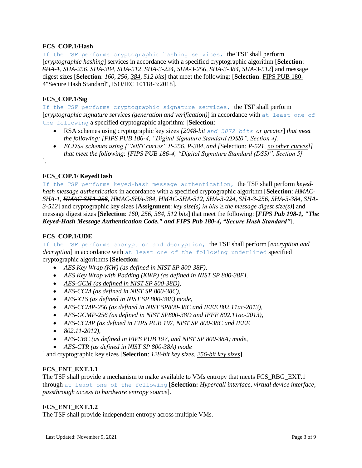# **FCS\_COP.1/Hash**

If the TSF performs cryptographic hashing services, the TSF shall perform [*cryptographic hashing*] services in accordance with a specified cryptographic algorithm [**Selection**: *SHA-1, SHA-256, SHA-384, SHA-512, SHA-3-224, SHA-3-256, SHA-3-384, SHA-3-512*] and message digest sizes [**Selection**: *160, 256, 384, 512 bits*] that meet the following: [**Selection**: FIPS PUB 180- 4"Secure Hash Standard", ISO/IEC 10118-3:2018].

# **FCS\_COP.1/Sig**

If the TSF performs cryptographic signature services, the TSF shall perform [*cryptographic signature services (generation and verification)*] in accordance with at least one of the following a specified cryptographic algorithm: [**Selection**:

- RSA schemes using cryptographic key sizes *[2048-bit and 3072 bits or greater*] *that meet the following: [FIPS PUB 186-4, "Digital Signature Standard (DSS)", Section 4],*
- *ECDSA schemes using ["NIST curves" P-256, P-384, and [*Selection*: P-521, no other curves]] that meet the following: [FIPS PUB 186-4, "Digital Signature Standard (DSS)", Section 5]*

].

# **FCS\_COP.1/ KeyedHash**

If the TSF performs keyed-hash message authentication, the TSF shall perform *keyedhash message authentication* in accordance with a specified cryptographic algorithm [**Selection**: *HMAC-SHA-1, HMAC-SHA-256, HMAC-SHA-384, HMAC-SHA-512, SHA-3-224, SHA-3-256, SHA-3-384, SHA-3-512*] and cryptographic key sizes [**Assignment**: *key size(s) in bits ≥ the message digest size(s)*] and message digest sizes [**Selection**: *160, 256, 384, 512 bits*] that meet the following: [*FIPS Pub 198-1, "The Keyed-Hash Message Authentication Code," and FIPS Pub 180-4, "Secure Hash Standard"*].

# **FCS\_COP.1/UDE**

If the TSF performs encryption and decryption, the TSF shall perform [*encryption and decryption*] in accordance with at least one of the following underlined specified cryptographic algorithms [**Selection:**

- *AES Key Wrap (KW) (as defined in NIST SP 800-38F),*
- *AES Key Wrap with Padding (KWP) (as defined in NIST SP 800-38F),*
- *AES-GCM (as defined in NIST SP 800-38D),*
- *AES-CCM (as defined in NIST SP 800-38C),*
- *AES-XTS (as defined in NIST SP 800-38E) mode,*
- *AES-CCMP-256 (as defined in NIST SP800-38C and IEEE 802.11ac-2013),*
- *AES-GCMP-256 (as defined in NIST SP800-38D and IEEE 802.11ac-2013),*
- *AES-CCMP (as defined in FIPS PUB 197, NIST SP 800-38C and IEEE*
- *802.11-2012),*
- *AES-CBC (as defined in FIPS PUB 197, and NIST SP 800-38A) mode,*
- *AES-CTR (as defined in NIST SP 800-38A) mode*

] and cryptographic key sizes [**Selection**: *128-bit key sizes*, *256-bit key sizes*].

# FCS ENT EXT.1.1

The TSF shall provide a mechanism to make available to VMs entropy that meets FCS\_RBG\_EXT.1 through at least one of the following [**Selection:** *Hypercall interface*, *virtual device interface*, *passthrough access to hardware entropy source*].

# **FCS\_ENT\_EXT.1.2**

The TSF shall provide independent entropy across multiple VMs.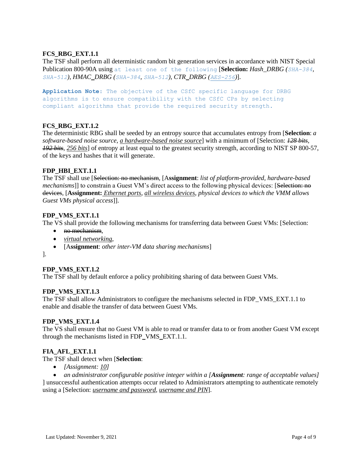# **FCS\_RBG\_EXT.1.1**

The TSF shall perform all deterministic random bit generation services in accordance with NIST Special Publication 800-90A using at least one of the following [**Selection:** *Hash\_DRBG (SHA-384, SHA-512)*, *HMAC\_DRBG (SHA-384, SHA-512), CTR\_DRBG (AES-256)*].

**Application Note**: The objective of the CSfC specific language for DRBG algorithms is to ensure compatibility with the CSfC CPs by selecting compliant algorithms that provide the required security strength.

# **FCS\_RBG\_EXT.1.2**

The deterministic RBG shall be seeded by an entropy source that accumulates entropy from [**Selection**: *a software-based noise source*, *a hardware-based noise source*] with a minimum of [Selection: *128 bits, 192 bits*, *256 bits*] of entropy at least equal to the greatest security strength, according to NIST SP 800-57, of the keys and hashes that it will generate.

# FDP\_HBI\_EXT.1.1

The TSF shall use [Selection: no mechanism, [A**ssignment**: *list of platform-provided, hardware-based mechanisms*]] to constrain a Guest VM's direct access to the following physical devices: [Selection: no devices, [**Assignment:** *Ethernet ports*, *all wireless devices*, *physical devices to which the VMM allows Guest VMs physical access*]].

# **FDP\_VMS\_EXT.1.1**

The VS shall provide the following mechanisms for transferring data between Guest VMs: [Selection:

- no mechanism.
- *virtual networking*,
- [A**ssignment**: *other inter-VM data sharing mechanisms*]

].

# **FDP\_VMS\_EXT.1.2**

The TSF shall by default enforce a policy prohibiting sharing of data between Guest VMs.

# **FDP\_VMS\_EXT.1.3**

The TSF shall allow Administrators to configure the mechanisms selected in FDP\_VMS\_EXT.1.1 to enable and disable the transfer of data between Guest VMs.

# **FDP\_VMS\_EXT.1.4**

The VS shall ensure that no Guest VM is able to read or transfer data to or from another Guest VM except through the mechanisms listed in FDP\_VMS\_EXT.1.1.

# **FIA\_AFL\_EXT.1.1**

The TSF shall detect when [**Selection**:

*[Assignment: 10]*

 *an administrator configurable positive integer within a [Assignment: range of acceptable values]* ] unsuccessful authentication attempts occur related to Administrators attempting to authenticate remotely using a [Selection: *username and password, username and PIN*].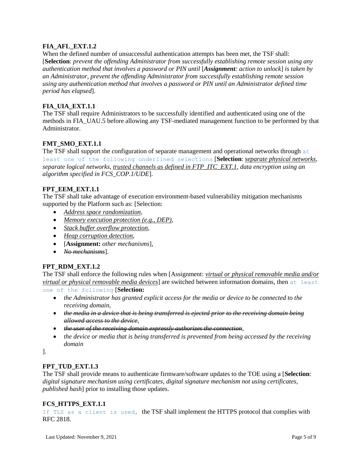# **FIA\_AFL\_EXT.1.2**

When the defined number of unsuccessful authentication attempts has been met, the TSF shall: [**Selection**: *prevent the offending Administrator from successfully establishing remote session using any authentication method that involves a password or PIN until* [*Assignment: action to unlock*] *is taken by an Administrator, prevent the offending Administrator from successfully establishing remote session using any authentication method that involves a password or PIN until an Administrator defined time period has elapsed*].

# **FIA\_UIA\_EXT.1.1**

The TSF shall require Administrators to be successfully identified and authenticated using one of the methods in FIA\_UAU.5 before allowing any TSF-mediated management function to be performed by that Administrator.

# **FMT\_SMO\_EXT.1.1**

The TSF shall support the configuration of separate management and operational networks through  $a\text{t}$ least one of the following underlined selections [**Selection**: *separate physical networks, separate logical networks, trusted channels as defined in FTP\_ITC\_EXT.1, data encryption using an algorithm specified in FCS\_COP.1/UDE*].

# FPT\_EEM\_EXT.1.1

The TSF shall take advantage of execution environment-based vulnerability mitigation mechanisms supported by the Platform such as: [Selection:

- *Address space randomization,*
- *Memory execution protection (e.g., DEP),*
- *Stack buffer overflow protection,*
- *Heap corruption detection*,
- [**Assignment:** *other mechanisms*],
- *No mechanisms*].

# **FPT\_RDM\_EXT.1.2**

The TSF shall enforce the following rules when [Assignment: *virtual or physical removable media and/or virtual or physical removable media devices*] are switched between information domains, then at least one of the following [**Selection:**

- *the Administrator has granted explicit access for the media or device to be connected to the receiving domain,*
- *the media in a device that is being transferred is ejected prior to the receiving domain being allowed access to the device,*
- *the user of the receiving domain expressly authorizes the connection,*
- *the device or media that is being transferred is prevented from being accessed by the receiving domain*

].

# **FPT\_TUD\_EXT.1.3**

The TSF shall provide means to authenticate firmware/software updates to the TOE using a [**Selection**: *digital signature mechanism using certificates*, *digital signature mechanism not using certificates*, *published hash*] prior to installing those updates.

# **FCS\_HTTPS\_EXT.1.1**

If TLS as a client is used, the TSF shall implement the HTTPS protocol that complies with RFC 2818.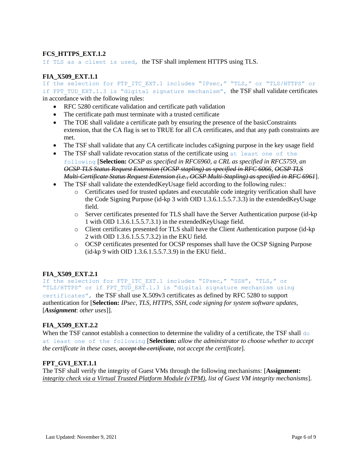# **FCS\_HTTPS\_EXT.1.2**

If TLS as a client is used, the TSF shall implement HTTPS using TLS.

#### **FIA\_X509\_EXT.1.1**

If the selection for FTP ITC EXT.1 includes "IPsec," "TLS," or "TLS/HTTPS" or if FPT TUD EXT.1.3 is "digital signature mechanism", the TSF shall validate certificates in accordance with the following rules:

- RFC 5280 certificate validation and certificate path validation
- The certificate path must terminate with a trusted certificate
- The TOE shall validate a certificate path by ensuring the presence of the basicConstraints extension, that the CA flag is set to TRUE for all CA certificates, and that any path constraints are met.
- The TSF shall validate that any CA certificate includes caSigning purpose in the key usage field
- The TSF shall validate revocation status of the certificate using at least one of the following [**Selection:** *OCSP as specified in RFC6960, a CRL as specified in RFC5759, an OCSP TLS Status Request Extension (OCSP stapling) as specified in RFC 6066, OCSP TLS Multi-Certificate Status Request Extension (i.e., OCSP Multi-Stapling) as specified in RFC 6961*].
- The TSF shall validate the extended Key Usage field according to the following rules:
	- o Certificates used for trusted updates and executable code integrity verification shall have the Code Signing Purpose (id-kp 3 with OID 1.3.6.1.5.5.7.3.3) in the extendedKeyUsage field.
	- o Server certificates presented for TLS shall have the Server Authentication purpose (id-kp 1 with OID 1.3.6.1.5.5.7.3.1) in the extendedKeyUsage field.
	- o Client certificates presented for TLS shall have the Client Authentication purpose (id-kp 2 with OID 1.3.6.1.5.5.7.3.2) in the EKU field.
	- o OCSP certificates presented for OCSP responses shall have the OCSP Signing Purpose (id-kp 9 with OID 1.3.6.1.5.5.7.3.9) in the EKU field..

# **FIA\_X509\_EXT.2.1**

If the selection for FTP ITC EXT.1 includes "IPsec," "SSH", "TLS," or "TLS/HTTPS" or if FPT TUD EXT.1.3 is "digital signature mechanism using certificates", the TSF shall use X.509v3 certificates as defined by RFC 5280 to support authentication for [**Selection:** *IPsec, TLS, HTTPS, SSH*, *code signing for system software updates,*  [*Assignment*: *other uses*]].

# **FIA\_X509\_EXT.2.2**

When the TSF cannot establish a connection to determine the validity of a certificate, the TSF shall  $d\circ$ at least one of the following [**Selection:** *allow the administrator to choose whether to accept the certificate in these cases*, *accept the certificate, not accept the certificate*].

# FPT GVI EXT.1.1

The TSF shall verify the integrity of Guest VMs through the following mechanisms: [**Assignment:** *integrity check via a Virtual Trusted Platform Module (vTPM)*, *list of Guest VM integrity mechanisms*].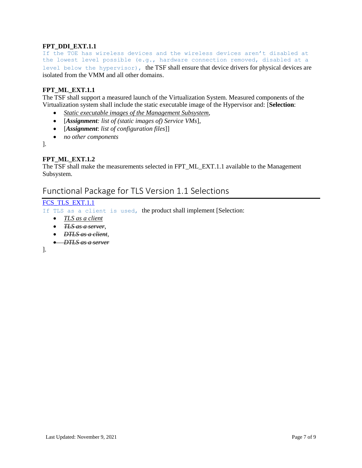# **FPT\_DDI\_EXT.1.1**

If the TOE has wireless devices and the wireless devices aren't disabled at the lowest level possible (e.g., hardware connection removed, disabled at a level below the hypervisor), the TSF shall ensure that device drivers for physical devices are isolated from the VMM and all other domains.

#### **FPT\_ML\_EXT.1.1**

The TSF shall support a measured launch of the Virtualization System. Measured components of the Virtualization system shall include the static executable image of the Hypervisor and: [**Selection**:

- *Static executable images of the Management Subsystem*,
- [*Assignment: list of (static images of) Service VMs*],
- [*Assignment*: *list of configuration files*]]
- *no other components*

].

# **FPT\_ML\_EXT.1.2**

The TSF shall make the measurements selected in FPT\_ML\_EXT.1.1 available to the Management Subsystem.

# Functional Package for TLS Version 1.1 Selections

#### [FCS\\_TLS\\_EXT.1.1](https://www.niap-ccevs.org/MMO/PP/-439-/#FCS_TLS_EXT.1.1)

If TLS as a client is used, the product shall implement [Selection:

- *TLS as a client*
- *TLS as a server,*
- *DTLS as a client,*
- *DTLS as a server*

].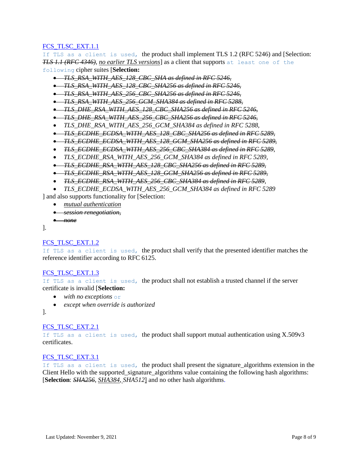[FCS\\_TLSC\\_EXT.1.1](https://www.niap-ccevs.org/MMO/PP/-439-/#FCS_TLSC_EXT.1.1)

If TLS as a client is used, the product shall implement TLS 1.2 (RFC 5246) and [Selection: *TLS 1.1 (RFC 4346)*, *no earlier TLS versions*] as a client that supports at least one of the following cipher suites [**Selection:**

*TLS\_RSA\_WITH\_AES\_128\_CBC\_SHA as defined in RFC 5246,*

- *TLS\_RSA\_WITH\_AES\_128\_CBC\_SHA256 as defined in RFC 5246,*
- *TLS\_RSA\_WITH\_AES\_256\_CBC\_SHA256 as defined in RFC 5246,*
- *TLS\_RSA\_WITH\_AES\_256\_GCM\_SHA384 as defined in RFC 5288,*
- *TLS\_DHE\_RSA\_WITH\_AES\_128\_CBC\_SHA256 as defined in RFC 5246,*
- *TLS\_DHE\_RSA\_WITH\_AES\_256\_CBC\_SHA256 as defined in RFC 5246,*
- *TLS\_DHE\_RSA\_WITH\_AES\_256\_GCM\_SHA384 as defined in RFC 5288,*
- *TLS\_ECDHE\_ECDSA\_WITH\_AES\_128\_CBC\_SHA256 as defined in RFC 5289,*
- *TLS\_ECDHE\_ECDSA\_WITH\_AES\_128\_GCM\_SHA256 as defined in RFC 5289,*
- *TLS\_ECDHE\_ECDSA\_WITH\_AES\_256\_CBC\_SHA384 as defined in RFC 5289*,
- *TLS\_ECDHE\_RSA\_WITH\_AES\_256\_GCM\_SHA384 as defined in RFC 5289,*
- *TLS\_ECDHE\_RSA\_WITH\_AES\_128\_CBC\_SHA256 as defined in RFC 5289,*
- *TLS\_ECDHE\_RSA\_WITH\_AES\_128\_GCM\_SHA256 as defined in RFC 5289,*
- *TLS\_ECDHE\_RSA\_WITH\_AES\_256\_CBC\_SHA384 as defined in RFC 5289*,
- *TLS\_ECDHE\_ECDSA\_WITH\_AES\_256\_GCM\_SHA384 as defined in RFC 5289*

] and also supports functionality for [Selection:

- *mutual authentication*
- *session renegotiation*,

```
 none
```
].

# [FCS\\_TLSC\\_EXT.1.2](https://www.niap-ccevs.org/MMO/PP/-439-/#FCS_TLSC_EXT.1.2)

If TLS as a client is used, the product shall verify that the presented identifier matches the reference identifier according to RFC 6125.

# FCS TLSC EXT.1.3

If TLS as a client is used, the product shall not establish a trusted channel if the server certificate is invalid [**Selection:**

- *with no exceptions* or
- *except when override is authorized*

].

# FCS TLSC EXT.2.1

If TLS as a client is used, the product shall support mutual authentication using  $X.509v3$ certificates.

# [FCS\\_TLSC\\_EXT.3.1](https://www.niap-ccevs.org/MMO/PP/-439-/#FCS_TLSC_EXT.3.1)

If TLS as a client is used, the product shall present the signature algorithms extension in the Client Hello with the supported\_signature\_algorithms value containing the following hash algorithms: [**Selection**: *SHA256*, *SHA384, SHA512*] and no other hash algorithm[s.](https://www.niap-ccevs.org/MMO/PP/-439-/#ajq_390)